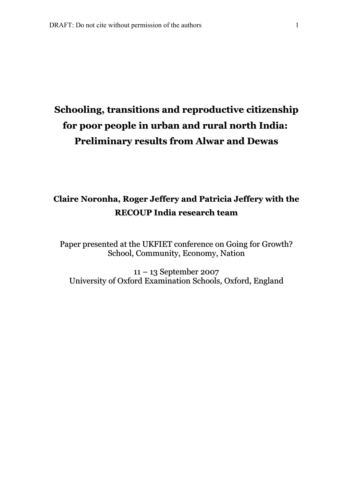# **Schooling, transitions and reproductive citizenship for poor people in urban and rural north India: Preliminary results from Alwar and Dewas**

## **Claire Noronha, Roger Jeffery and Patricia Jeffery with the RECOUP India research team**

Paper presented at the UKFIET conference on Going for Growth? School, Community, Economy, Nation

11 – 13 September 2007 University of Oxford Examination Schools, Oxford, England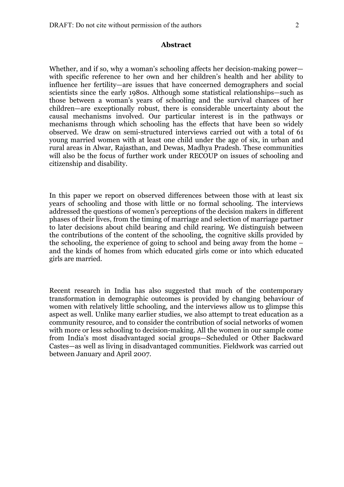#### **Abstract**

Whether, and if so, why a woman's schooling affects her decision-making power with specific reference to her own and her children's health and her ability to influence her fertility—are issues that have concerned demographers and social scientists since the early 1980s. Although some statistical relationships—such as those between a woman's years of schooling and the survival chances of her children—are exceptionally robust, there is considerable uncertainty about the causal mechanisms involved. Our particular interest is in the pathways or mechanisms through which schooling has the effects that have been so widely observed. We draw on semi-structured interviews carried out with a total of 61 young married women with at least one child under the age of six, in urban and rural areas in Alwar, Rajasthan, and Dewas, Madhya Pradesh. These communities will also be the focus of further work under RECOUP on issues of schooling and citizenship and disability.

In this paper we report on observed differences between those with at least six years of schooling and those with little or no formal schooling. The interviews addressed the questions of women's perceptions of the decision makers in different phases of their lives, from the timing of marriage and selection of marriage partner to later decisions about child bearing and child rearing. We distinguish between the contributions of the content of the schooling, the cognitive skills provided by the schooling, the experience of going to school and being away from the home – and the kinds of homes from which educated girls come or into which educated girls are married.

Recent research in India has also suggested that much of the contemporary transformation in demographic outcomes is provided by changing behaviour of women with relatively little schooling, and the interviews allow us to glimpse this aspect as well. Unlike many earlier studies, we also attempt to treat education as a community resource, and to consider the contribution of social networks of women with more or less schooling to decision-making. All the women in our sample come from India's most disadvantaged social groups—Scheduled or Other Backward Castes—as well as living in disadvantaged communities. Fieldwork was carried out between January and April 2007.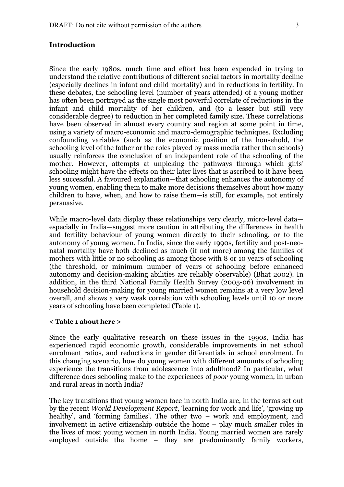### **Introduction**

Since the early 1980s, much time and effort has been expended in trying to understand the relative contributions of different social factors in mortality decline (especially declines in infant and child mortality) and in reductions in fertility. In these debates, the schooling level (number of years attended) of a young mother has often been portrayed as the single most powerful correlate of reductions in the infant and child mortality of her children, and (to a lesser but still very considerable degree) to reduction in her completed family size. These correlations have been observed in almost every country and region at some point in time, using a variety of macro-economic and macro-demographic techniques. Excluding confounding variables (such as the economic position of the household, the schooling level of the father or the roles played by mass media rather than schools) usually reinforces the conclusion of an independent role of the schooling of the mother. However, attempts at unpicking the pathways through which girls' schooling might have the effects on their later lives that is ascribed to it have been less successful. A favoured explanation—that schooling enhances the autonomy of young women, enabling them to make more decisions themselves about how many children to have, when, and how to raise them—is still, for example, not entirely persuasive.

While macro-level data display these relationships very clearly, micro-level data especially in India—suggest more caution in attributing the differences in health and fertility behaviour of young women directly to their schooling, or to the autonomy of young women. In India, since the early 1990s, fertility and post-neonatal mortality have both declined as much (if not more) among the families of mothers with little or no schooling as among those with 8 or 10 years of schooling (the threshold, or minimum number of years of schooling before enhanced autonomy and decision-making abilities are reliably observable) (Bhat 2002). In addition, in the third National Family Health Survey (2005-06) involvement in household decision-making for young married women remains at a very low level overall, and shows a very weak correlation with schooling levels until 10 or more years of schooling have been completed (Table 1).

#### **< Table 1 about here >**

Since the early qualitative research on these issues in the 1990s, India has experienced rapid economic growth, considerable improvements in net school enrolment ratios, and reductions in gender differentials in school enrolment. In this changing scenario, how do young women with different amounts of schooling experience the transitions from adolescence into adulthood? In particular, what difference does schooling make to the experiences of *poor* young women, in urban and rural areas in north India?

The key transitions that young women face in north India are, in the terms set out by the recent *World Development Report*, 'learning for work and life', 'growing up healthy', and 'forming families'. The other two – work and employment, and involvement in active citizenship outside the home – play much smaller roles in the lives of most young women in north India. Young married women are rarely employed outside the home – they are predominantly family workers,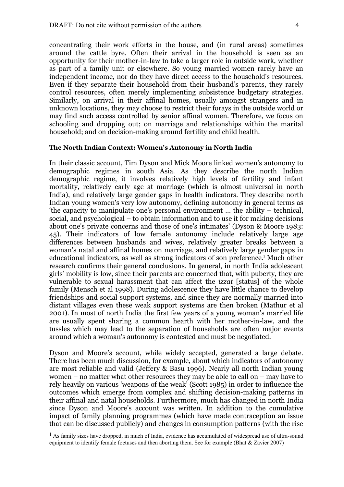concentrating their work efforts in the house, and (in rural areas) sometimes around the cattle byre. Often their arrival in the household is seen as an opportunity for their mother-in-law to take a larger role in outside work, whether as part of a family unit or elsewhere. So young married women rarely have an independent income, nor do they have direct access to the household's resources. Even if they separate their household from their husband's parents, they rarely control resources, often merely implementing subsistence budgetary strategies. Similarly, on arrival in their affinal homes, usually amongst strangers and in unknown locations, they may choose to restrict their forays in the outside world or may find such access controlled by senior affinal women. Therefore, we focus on schooling and dropping out; on marriage and relationships within the marital household; and on decision-making around fertility and child health.

#### **The North Indian Context: Women's Autonomy in North India**

In their classic account, Tim Dyson and Mick Moore linked women's autonomy to demographic regimes in south Asia. As they describe the north Indian demographic regime, it involves relatively high levels of fertility and infant mortality, relatively early age at marriage (which is almost universal in north India), and relatively large gender gaps in health indicators. They describe north Indian young women's very low autonomy, defining autonomy in general terms as 'the capacity to manipulate one's personal environment … the ability – technical, social, and psychological – to obtain information and to use it for making decisions about one's private concerns and those of one's intimates' (Dyson & Moore 1983: 45). Their indicators of low female autonomy include relatively large age differences between husbands and wives, relatively greater breaks between a woman's natal and affinal homes on marriage, and relatively large gender gaps in educational indicators, as well as strong indicators of son preference.<sup>[1](#page-3-0)</sup> Much other research confirms their general conclusions. In general, in north India adolescent girls' mobility is low, since their parents are concerned that, with puberty, they are vulnerable to sexual harassment that can affect the *izzat* [status] of the whole family (Mensch et al 1998). During adolescence they have little chance to develop friendships and social support systems, and since they are normally married into distant villages even these weak support systems are then broken (Mathur et al 2001). In most of north India the first few years of a young woman's married life are usually spent sharing a common hearth with her mother-in-law, and the tussles which may lead to the separation of households are often major events around which a woman's autonomy is contested and must be negotiated.

Dyson and Moore's account, while widely accepted, generated a large debate. There has been much discussion, for example, about which indicators of autonomy are most reliable and valid (Jeffery & Basu 1996). Nearly all north Indian young women – no matter what other resources they may be able to call on – may have to rely heavily on various 'weapons of the weak' (Scott 1985) in order to influence the outcomes which emerge from complex and shifting decision-making patterns in their affinal and natal households. Furthermore, much has changed in north India since Dyson and Moore's account was written. In addition to the cumulative impact of family planning programmes (which have made contraception an issue that can be discussed publicly) and changes in consumption patterns (with the rise

<span id="page-3-0"></span><sup>&</sup>lt;sup>1</sup> As family sizes have dropped, in much of India, evidence has accumulated of widespread use of ultra-sound equipment to identify female foetuses and then aborting them. See for example (Bhat & Zavier 2007)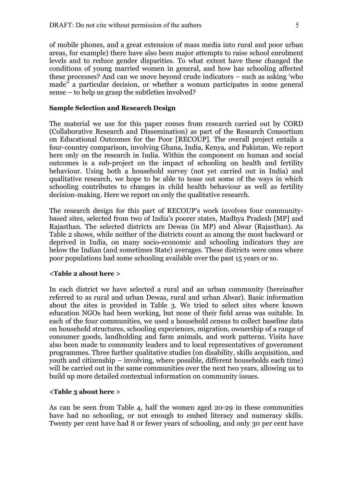of mobile phones, and a great extension of mass media into rural and poor urban areas, for example) there have also been major attempts to raise school enrolment levels and to reduce gender disparities. To what extent have these changed the conditions of young married women in general, and how has schooling affected these processes? And can we move beyond crude indicators – such as asking 'who made'' a particular decision, or whether a woman participates in some general sense – to help us grasp the subtleties involved?

#### **Sample Selection and Research Design**

The material we use for this paper comes from research carried out by CORD (Collaborative Research and Dissemination) as part of the Research Consortium on Educational Outcomes for the Poor [RECOUP]. The overall project entails a four-country comparison, involving Ghana, India, Kenya, and Pakistan. We report here only on the research in India. Within the component on human and social outcomes is a sub-project on the impact of schooling on health and fertility behaviour. Using both a household survey (not yet carried out in India) and qualitative research, we hope to be able to tease out some of the ways in which schooling contributes to changes in child health behaviour as well as fertility decision-making. Here we report on only the qualitative research.

The research design for this part of RECOUP's work involves four communitybased sites, selected from two of India's poorer states, Madhya Pradesh [MP] and Rajasthan. The selected districts are Dewas (in MP) and Alwar (Rajasthan). As Table 2 shows, while neither of the districts count as among the most backward or deprived in India, on many socio-economic and schooling indicators they are below the Indian (and sometimes State) averages. These districts were ones where poor populations had some schooling available over the past 15 years or so.

#### **<Table 2 about here >**

In each district we have selected a rural and an urban community (hereinafter referred to as rural and urban Dewas, rural and urban Alwar). Basic information about the sites is provided in Table 3. We tried to select sites where known education NGOs had been working, but none of their field areas was suitable. In each of the four communities, we used a household census to collect baseline data on household structures, schooling experiences, migration, ownership of a range of consumer goods, landholding and farm animals, and work patterns. Visits have also been made to community leaders and to local representatives of government programmes. Three further qualitative studies (on disability, skills acquisition, and youth and citizenship – involving, where possible, different households each time) will be carried out in the same communities over the next two years, allowing us to build up more detailed contextual information on community issues.

#### **<Table 3 about here >**

As can be seen from Table 4, half the women aged 20-29 in these communities have had no schooling, or not enough to embed literacy and numeracy skills. Twenty per cent have had 8 or fewer years of schooling, and only 30 per cent have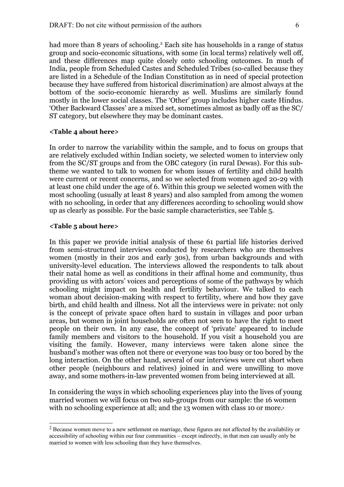had more than 8 years of schooling.<sup>[2](#page-5-0)</sup> Each site has households in a range of status group and socio-economic situations, with some (in local terms) relatively well off, and these differences map quite closely onto schooling outcomes. In much of India, people from Scheduled Castes and Scheduled Tribes (so-called because they are listed in a Schedule of the Indian Constitution as in need of special protection because they have suffered from historical discrimination) are almost always at the bottom of the socio-economic hierarchy as well. Muslims are similarly found mostly in the lower social classes. The 'Other' group includes higher caste Hindus. 'Other Backward Classes' are a mixed set, sometimes almost as badly off as the SC/ ST category, but elsewhere they may be dominant castes.

#### **<Table 4 about here>**

In order to narrow the variability within the sample, and to focus on groups that are relatively excluded within Indian society, we selected women to interview only from the SC/ST groups and from the OBC category (in rural Dewas). For this subtheme we wanted to talk to women for whom issues of fertility and child health were current or recent concerns, and so we selected from women aged 20-29 with at least one child under the age of 6. Within this group we selected women with the most schooling (usually at least 8 years) and also sampled from among the women with no schooling, in order that any differences according to schooling would show up as clearly as possible. For the basic sample characteristics, see Table 5.

#### **<Table 5 about here>**

In this paper we provide initial analysis of these 61 partial life histories derived from semi-structured interviews conducted by researchers who are themselves women (mostly in their 20s and early 30s), from urban backgrounds and with university-level education. The interviews allowed the respondents to talk about their natal home as well as conditions in their affinal home and community, thus providing us with actors' voices and perceptions of some of the pathways by which schooling might impact on health and fertility behaviour. We talked to each woman about decision-making with respect to fertility, where and how they gave birth, and child health and illness. Not all the interviews were in private: not only is the concept of private space often hard to sustain in villages and poor urban areas, but women in joint households are often not seen to have the right to meet people on their own. In any case, the concept of 'private' appeared to include family members and visitors to the household. If you visit a household you are visiting the family. However, many interviews were taken alone since the husband's mother was often not there or everyone was too busy or too bored by the long interaction. On the other hand, several of our interviews were cut short when other people (neighbours and relatives) joined in and were unwilling to move away, and some mothers-in-law prevented women from being interviewed at all.

In considering the ways in which schooling experiences play into the lives of young married women we will focus on two sub-groups from our sample: the 16 women with no schooling experience at all; and the 1[3](#page-6-0) women with class 10 or more.<sup>3</sup>

<span id="page-5-0"></span> $2$  Because women move to a new settlement on marriage, these figures are not affected by the availability or accessibility of schooling within our four communities – except indirectly, in that men can usually only be married to women with less schooling than they have themselves.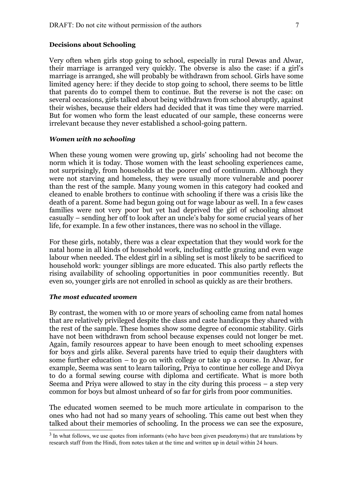#### **Decisions about Schooling**

Very often when girls stop going to school, especially in rural Dewas and Alwar, their marriage is arranged very quickly. The obverse is also the case: if a girl's marriage is arranged, she will probably be withdrawn from school. Girls have some limited agency here: if they decide to stop going to school, there seems to be little that parents do to compel them to continue. But the reverse is not the case: on several occasions, girls talked about being withdrawn from school abruptly, against their wishes, because their elders had decided that it was time they were married. But for women who form the least educated of our sample, these concerns were irrelevant because they never established a school-going pattern.

#### *Women with no schooling*

When these young women were growing up, girls' schooling had not become the norm which it is today. Those women with the least schooling experiences came, not surprisingly, from households at the poorer end of continuum. Although they were not starving and homeless, they were usually more vulnerable and poorer than the rest of the sample. Many young women in this category had cooked and cleaned to enable brothers to continue with schooling if there was a crisis like the death of a parent. Some had begun going out for wage labour as well. In a few cases families were not very poor but yet had deprived the girl of schooling almost casually – sending her off to look after an uncle's baby for some crucial years of her life, for example. In a few other instances, there was no school in the village.

For these girls, notably, there was a clear expectation that they would work for the natal home in all kinds of household work, including cattle grazing and even wage labour when needed. The eldest girl in a sibling set is most likely to be sacrificed to household work: younger siblings are more educated. This also partly reflects the rising availability of schooling opportunities in poor communities recently. But even so, younger girls are not enrolled in school as quickly as are their brothers.

#### *The most educated women*

By contrast, the women with 10 or more years of schooling came from natal homes that are relatively privileged despite the class and caste handicaps they shared with the rest of the sample. These homes show some degree of economic stability. Girls have not been withdrawn from school because expenses could not longer be met. Again, family resources appear to have been enough to meet schooling expenses for boys and girls alike. Several parents have tried to equip their daughters with some further education – to go on with college or take up a course. In Alwar, for example, Seema was sent to learn tailoring, Priya to continue her college and Divya to do a formal sewing course with diploma and certificate. What is more both Seema and Priya were allowed to stay in the city during this process – a step very common for boys but almost unheard of so far for girls from poor communities.

The educated women seemed to be much more articulate in comparison to the ones who had not had so many years of schooling. This came out best when they talked about their memories of schooling. In the process we can see the exposure,

<span id="page-6-0"></span> $3$  In what follows, we use quotes from informants (who have been given pseudonyms) that are translations by research staff from the Hindi, from notes taken at the time and written up in detail within 24 hours.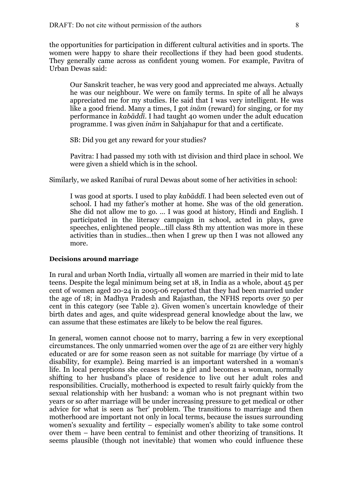the opportunities for participation in different cultural activities and in sports. The women were happy to share their recollections if they had been good students. They generally came across as confident young women. For example, Pavitra of Urban Dewas said:

Our Sanskrit teacher, he was very good and appreciated me always. Actually he was our neighbour. We were on family terms. In spite of all he always appreciated me for my studies. He said that I was very intelligent. He was like a good friend. Many a times, I got *inām* (reward) for singing, or for my performance in *kabāddī*. I had taught 40 women under the adult education programme. I was given *inām* in Sahjahapur for that and a certificate.

SB: Did you get any reward for your studies?

Pavitra: I had passed my 10th with 1st division and third place in school. We were given a shield which is in the school.

Similarly, we asked Ranibai of rural Dewas about some of her activities in school:

I was good at sports. I used to play *kabāddī*. I had been selected even out of school. I had my father's mother at home. She was of the old generation. She did not allow me to go. … I was good at history, Hindi and English. I participated in the literacy campaign in school, acted in plays, gave speeches, enlightened people…till class 8th my attention was more in these activities than in studies…then when I grew up then I was not allowed any more.

#### **Decisions around marriage**

In rural and urban North India, virtually all women are married in their mid to late teens. Despite the legal minimum being set at 18, in India as a whole, about 45 per cent of women aged 20-24 in 2005-06 reported that they had been married under the age of 18; in Madhya Pradesh and Rajasthan, the NFHS reports over 50 per cent in this category (see Table 2). Given women's uncertain knowledge of their birth dates and ages, and quite widespread general knowledge about the law, we can assume that these estimates are likely to be below the real figures.

In general, women cannot choose not to marry, barring a few in very exceptional circumstances. The only unmarried women over the age of 21 are either very highly educated or are for some reason seen as not suitable for marriage (by virtue of a disability, for example). Being married is an important watershed in a woman's life. In local perceptions she ceases to be a girl and becomes a woman, normally shifting to her husband's place of residence to live out her adult roles and responsibilities. Crucially, motherhood is expected to result fairly quickly from the sexual relationship with her husband: a woman who is not pregnant within two years or so after marriage will be under increasing pressure to get medical or other advice for what is seen as 'her' problem. The transitions to marriage and then motherhood are important not only in local terms, because the issues surrounding women's sexuality and fertility – especially women's ability to take some control over them – have been central to feminist and other theorizing of transitions. It seems plausible (though not inevitable) that women who could influence these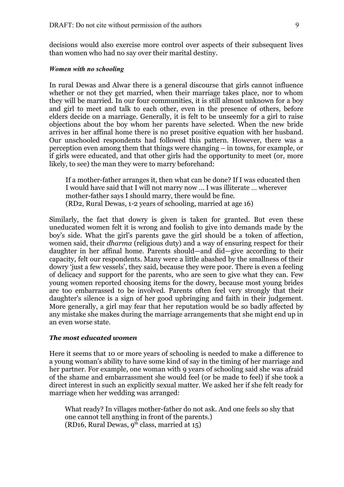decisions would also exercise more control over aspects of their subsequent lives than women who had no say over their marital destiny.

#### *Women with no schooling*

In rural Dewas and Alwar there is a general discourse that girls cannot influence whether or not they get married, when their marriage takes place, nor to whom they will be married. In our four communities, it is still almost unknown for a boy and girl to meet and talk to each other, even in the presence of others, before elders decide on a marriage. Generally, it is felt to be unseemly for a girl to raise objections about the boy whom her parents have selected. When the new bride arrives in her affinal home there is no preset positive equation with her husband. Our unschooled respondents had followed this pattern. However, there was a perception even among them that things were changing – in towns, for example, or if girls were educated, and that other girls had the opportunity to meet (or, more likely, to see) the man they were to marry beforehand:

If a mother-father arranges it, then what can be done? If I was educated then I would have said that I will not marry now … I was illiterate … wherever mother-father says I should marry, there would be fine*.* (RD2, Rural Dewas, 1-2 years of schooling, married at age 16)

Similarly, the fact that dowry is given is taken for granted. But even these uneducated women felt it is wrong and foolish to give into demands made by the boy's side. What the girl's parents gave the girl should be a token of affection, women said, their *dharma* (religious duty) and a way of ensuring respect for their daughter in her affinal home. Parents should—and did—give according to their capacity, felt our respondents. Many were a little abashed by the smallness of their dowry 'just a few vessels', they said, because they were poor. There is even a feeling of delicacy and support for the parents, who are seen to give what they can. Few young women reported choosing items for the dowry, because most young brides are too embarrassed to be involved. Parents often feel very strongly that their daughter's silence is a sign of her good upbringing and faith in their judgement. More generally, a girl may fear that her reputation would be so badly affected by any mistake she makes during the marriage arrangements that she might end up in an even worse state.

#### *The most educated women*

Here it seems that 10 or more years of schooling is needed to make a difference to a young woman's ability to have some kind of say in the timing of her marriage and her partner. For example, one woman with 9 years of schooling said she was afraid of the shame and embarrassment she would feel (or be made to feel) if she took a direct interest in such an explicitly sexual matter. We asked her if she felt ready for marriage when her wedding was arranged:

What ready? In villages mother-father do not ask. And one feels so shy that one cannot tell anything in front of the parents.) (RD16, Rural Dewas,  $9^{th}$  class, married at 15)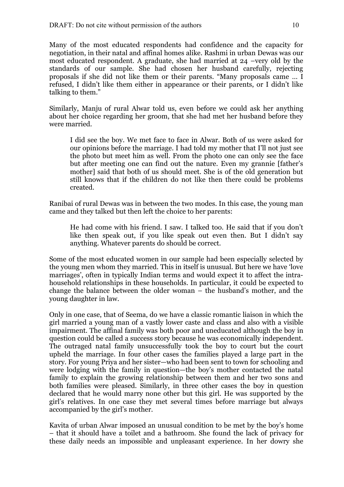Many of the most educated respondents had confidence and the capacity for negotiation, in their natal and affinal homes alike. Rashmi in urban Dewas was our most educated respondent. A graduate, she had married at 24 –very old by the standards of our sample. She had chosen her husband carefully, rejecting proposals if she did not like them or their parents. "Many proposals came … I refused, I didn't like them either in appearance or their parents, or I didn't like talking to them."

Similarly, Manju of rural Alwar told us, even before we could ask her anything about her choice regarding her groom, that she had met her husband before they were married.

I did see the boy. We met face to face in Alwar. Both of us were asked for our opinions before the marriage. I had told my mother that I'll not just see the photo but meet him as well. From the photo one can only see the face but after meeting one can find out the nature. Even my grannie [father's mother] said that both of us should meet. She is of the old generation but still knows that if the children do not like then there could be problems created.

Ranibai of rural Dewas was in between the two modes. In this case, the young man came and they talked but then left the choice to her parents:

He had come with his friend. I saw. I talked too. He said that if you don't like then speak out, if you like speak out even then. But I didn't say anything. Whatever parents do should be correct.

Some of the most educated women in our sample had been especially selected by the young men whom they married. This in itself is unusual. But here we have 'love marriages', often in typically Indian terms and would expect it to affect the intrahousehold relationships in these households. In particular, it could be expected to change the balance between the older woman – the husband's mother, and the young daughter in law.

Only in one case, that of Seema, do we have a classic romantic liaison in which the girl married a young man of a vastly lower caste and class and also with a visible impairment. The affinal family was both poor and uneducated although the boy in question could be called a success story because he was economically independent. The outraged natal family unsuccessfully took the boy to court but the court upheld the marriage. In four other cases the families played a large part in the story. For young Priya and her sister—who had been sent to town for schooling and were lodging with the family in question—the boy's mother contacted the natal family to explain the growing relationship between them and her two sons and both families were pleased. Similarly, in three other cases the boy in question declared that he would marry none other but this girl. He was supported by the girl's relatives. In one case they met several times before marriage but always accompanied by the girl's mother.

Kavita of urban Alwar imposed an unusual condition to be met by the boy's home – that it should have a toilet and a bathroom. She found the lack of privacy for these daily needs an impossible and unpleasant experience. In her dowry she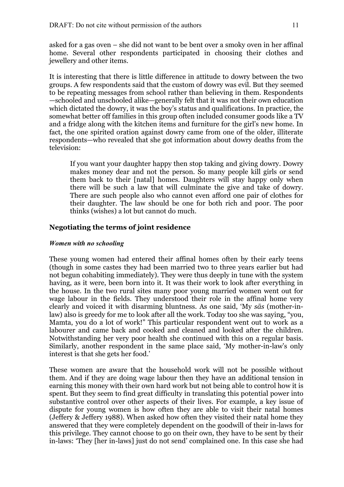asked for a gas oven – she did not want to be bent over a smoky oven in her affinal home. Several other respondents participated in choosing their clothes and jewellery and other items.

It is interesting that there is little difference in attitude to dowry between the two groups. A few respondents said that the custom of dowry was evil. But they seemed to be repeating messages from school rather than believing in them. Respondents —schooled and unschooled alike—generally felt that it was not their own education which dictated the dowry, it was the boy's status and qualifications. In practice, the somewhat better off families in this group often included consumer goods like a TV and a fridge along with the kitchen items and furniture for the girl's new home. In fact, the one spirited oration against dowry came from one of the older, illiterate respondents—who revealed that she got information about dowry deaths from the television:

If you want your daughter happy then stop taking and giving dowry. Dowry makes money dear and not the person. So many people kill girls or send them back to their [natal] homes. Daughters will stay happy only when there will be such a law that will culminate the give and take of dowry. There are such people also who cannot even afford one pair of clothes for their daughter. The law should be one for both rich and poor. The poor thinks (wishes) a lot but cannot do much.

## **Negotiating the terms of joint residence**

## *Women with no schooling*

These young women had entered their affinal homes often by their early teens (though in some castes they had been married two to three years earlier but had not begun cohabiting immediately). They were thus deeply in tune with the system having, as it were, been born into it. It was their work to look after everything in the house. In the two rural sites many poor young married women went out for wage labour in the fields. They understood their role in the affinal home very clearly and voiced it with disarming bluntness. As one said, 'My *sās* (mother-inlaw) also is greedy for me to look after all the work. Today too she was saying, "you, Mamta, you do a lot of work!" This particular respondent went out to work as a labourer and came back and cooked and cleaned and looked after the children. Notwithstanding her very poor health she continued with this on a regular basis. Similarly, another respondent in the same place said, 'My mother-in-law's only interest is that she gets her food.'

These women are aware that the household work will not be possible without them. And if they are doing wage labour then they have an additional tension in earning this money with their own hard work but not being able to control how it is spent. But they seem to find great difficulty in translating this potential power into substantive control over other aspects of their lives. For example, a key issue of dispute for young women is how often they are able to visit their natal homes (Jeffery & Jeffery 1988). When asked how often they visited their natal home they answered that they were completely dependent on the goodwill of their in-laws for this privilege. They cannot choose to go on their own, they have to be sent by their in-laws: 'They [her in-laws] just do not send' complained one. In this case she had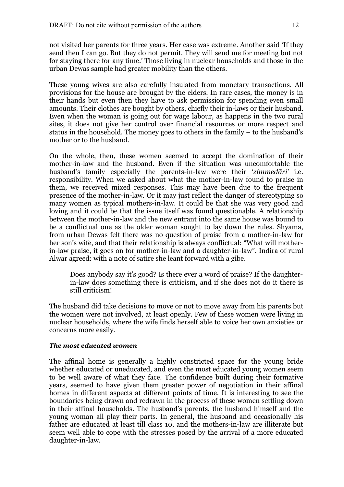not visited her parents for three years. Her case was extreme. Another said 'If they send then I can go. But they do not permit. They will send me for meeting but not for staying there for any time.' Those living in nuclear households and those in the urban Dewas sample had greater mobility than the others.

These young wives are also carefully insulated from monetary transactions. All provisions for the house are brought by the elders. In rare cases, the money is in their hands but even then they have to ask permission for spending even small amounts. Their clothes are bought by others, chiefly their in-laws or their husband. Even when the woman is going out for wage labour, as happens in the two rural sites, it does not give her control over financial resources or more respect and status in the household. The money goes to others in the family – to the husband's mother or to the husband.

On the whole, then, these women seemed to accept the domination of their mother-in-law and the husband. Even if the situation was uncomfortable the husband's family especially the parents-in-law were their '*zimmedāri'* i.e. responsibility. When we asked about what the mother-in-law found to praise in them, we received mixed responses. This may have been due to the frequent presence of the mother-in-law. Or it may just reflect the danger of stereotyping so many women as typical mothers-in-law. It could be that she was very good and loving and it could be that the issue itself was found questionable. A relationship between the mother-in-law and the new entrant into the same house was bound to be a conflictual one as the older woman sought to lay down the rules. Shyama, from urban Dewas felt there was no question of praise from a mother-in-law for her son's wife, and that their relationship is always conflictual: "What will motherin-law praise, it goes on for mother-in-law and a daughter-in-law". Indira of rural Alwar agreed: with a note of satire she leant forward with a gibe.

Does anybody say it's good? Is there ever a word of praise? If the daughterin-law does something there is criticism, and if she does not do it there is still criticism!

The husband did take decisions to move or not to move away from his parents but the women were not involved, at least openly. Few of these women were living in nuclear households, where the wife finds herself able to voice her own anxieties or concerns more easily.

## *The most educated women*

The affinal home is generally a highly constricted space for the young bride whether educated or uneducated, and even the most educated young women seem to be well aware of what they face. The confidence built during their formative years, seemed to have given them greater power of negotiation in their affinal homes in different aspects at different points of time. It is interesting to see the boundaries being drawn and redrawn in the process of these women settling down in their affinal households. The husband's parents, the husband himself and the young woman all play their parts. In general, the husband and occasionally his father are educated at least till class 10, and the mothers-in-law are illiterate but seem well able to cope with the stresses posed by the arrival of a more educated daughter-in-law.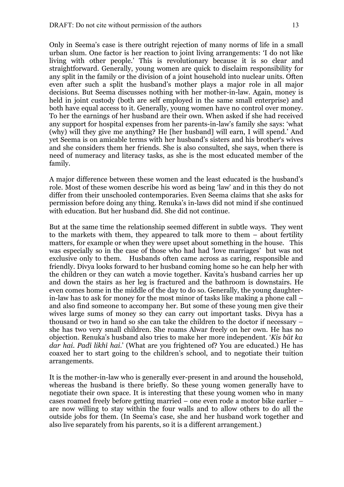Only in Seema's case is there outright rejection of many norms of life in a small urban slum. One factor is her reaction to joint living arrangements: 'I do not like living with other people.' This is revolutionary because it is so clear and straightforward. Generally, young women are quick to disclaim responsibility for any split in the family or the division of a joint household into nuclear units. Often even after such a split the husband's mother plays a major role in all major decisions. But Seema discusses nothing with her mother-in-law. Again, money is held in joint custody (both are self employed in the same small enterprise) and both have equal access to it. Generally, young women have no control over money. To her the earnings of her husband are their own. When asked if she had received any support for hospital expenses from her parents-in-law's family she says: 'what (why) will they give me anything? He [her husband] will earn, I will spend.' And yet Seema is on amicable terms with her husband's sisters and his brother's wives and she considers them her friends. She is also consulted, she says, when there is need of numeracy and literacy tasks, as she is the most educated member of the family.

A major difference between these women and the least educated is the husband's role. Most of these women describe his word as being 'law' and in this they do not differ from their unschooled contemporaries. Even Seema claims that she asks for permission before doing any thing. Renuka's in-laws did not mind if she continued with education. But her husband did. She did not continue.

But at the same time the relationship seemed different in subtle ways. They went to the markets with them, they appeared to talk more to them – about fertility matters, for example or when they were upset about something in the house. This was especially so in the case of those who had had 'love marriages' but was not exclusive only to them. Husbands often came across as caring, responsible and friendly. Divya looks forward to her husband coming home so he can help her with the children or they can watch a movie together. Kavita's husband carries her up and down the stairs as her leg is fractured and the bathroom is downstairs. He even comes home in the middle of the day to do so. Generally, the young daughterin-law has to ask for money for the most minor of tasks like making a phone call – and also find someone to accompany her. But some of these young men give their wives large sums of money so they can carry out important tasks. Divya has a thousand or two in hand so she can take the children to the doctor if necessary – she has two very small children. She roams Alwar freely on her own. He has no objection. Renuka's husband also tries to make her more independent. '*Kis bāt ka dar hai. Padī likhī hai*.' (What are you frightened of? You are educated.) He has coaxed her to start going to the children's school, and to negotiate their tuition arrangements.

It is the mother-in-law who is generally ever-present in and around the household, whereas the husband is there briefly. So these young women generally have to negotiate their own space. It is interesting that these young women who in many cases roamed freely before getting married – one even rode a motor bike earlier – are now willing to stay within the four walls and to allow others to do all the outside jobs for them. (In Seema's case, she and her husband work together and also live separately from his parents, so it is a different arrangement.)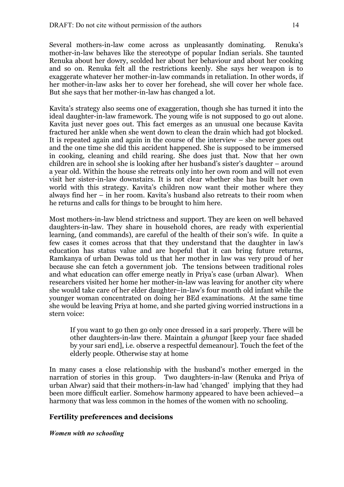Several mothers-in-law come across as unpleasantly dominating. Renuka's mother-in-law behaves like the stereotype of popular Indian serials. She taunted Renuka about her dowry, scolded her about her behaviour and about her cooking and so on. Renuka felt all the restrictions keenly. She says her weapon is to exaggerate whatever her mother-in-law commands in retaliation. In other words, if her mother-in-law asks her to cover her forehead, she will cover her whole face. But she says that her mother-in-law has changed a lot.

Kavita's strategy also seems one of exaggeration, though she has turned it into the ideal daughter-in-law framework. The young wife is not supposed to go out alone. Kavita just never goes out. This fact emerges as an unusual one because Kavita fractured her ankle when she went down to clean the drain which had got blocked. It is repeated again and again in the course of the interview – she never goes out and the one time she did this accident happened. She is supposed to be immersed in cooking, cleaning and child rearing. She does just that. Now that her own children are in school she is looking after her husband's sister's daughter – around a year old. Within the house she retreats only into her own room and will not even visit her sister-in-law downstairs. It is not clear whether she has built her own world with this strategy. Kavita's children now want their mother where they always find her – in her room. Kavita's husband also retreats to their room when he returns and calls for things to be brought to him here.

Most mothers-in-law blend strictness and support. They are keen on well behaved daughters-in-law. They share in household chores, are ready with experiential learning, (and commands), are careful of the health of their son's wife. In quite a few cases it comes across that that they understand that the daughter in law's education has status value and are hopeful that it can bring future returns, Ramkanya of urban Dewas told us that her mother in law was very proud of her because she can fetch a government job. The tensions between traditional roles and what education can offer emerge neatly in Priya's case (urban Alwar). When researchers visited her home her mother-in-law was leaving for another city where she would take care of her elder daughter–in-law's four month old infant while the younger woman concentrated on doing her BEd examinations. At the same time she would be leaving Priya at home, and she parted giving worried instructions in a stern voice:

If you want to go then go only once dressed in a sari properly. There will be other daughters-in-law there. Maintain a *ghungat* [keep your face shaded by your sari end], i.e. observe a respectful demeanour]. Touch the feet of the elderly people. Otherwise stay at home

In many cases a close relationship with the husband's mother emerged in the narration of stories in this group. Two daughters-in-law (Renuka and Priya of urban Alwar) said that their mothers-in-law had 'changed' implying that they had been more difficult earlier. Somehow harmony appeared to have been achieved—a harmony that was less common in the homes of the women with no schooling.

## **Fertility preferences and decisions**

*Women with no schooling*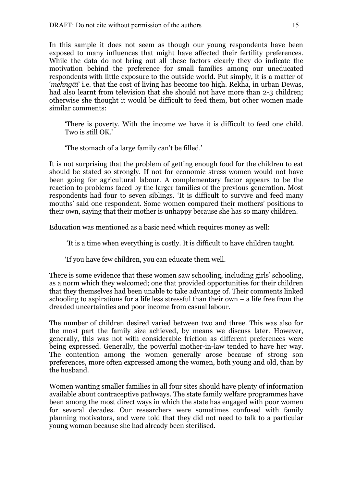In this sample it does not seem as though our young respondents have been exposed to many influences that might have affected their fertility preferences. While the data do not bring out all these factors clearly they do indicate the motivation behind the preference for small families among our uneducated respondents with little exposure to the outside world. Put simply, it is a matter of '*mehngāī*' i.e. that the cost of living has become too high. Rekha, in urban Dewas, had also learnt from television that she should not have more than 2-3 children; otherwise she thought it would be difficult to feed them, but other women made similar comments:

'There is poverty. With the income we have it is difficult to feed one child. Two is still OK.'

'The stomach of a large family can't be filled.'

It is not surprising that the problem of getting enough food for the children to eat should be stated so strongly. If not for economic stress women would not have been going for agricultural labour. A complementary factor appears to be the reaction to problems faced by the larger families of the previous generation. Most respondents had four to seven siblings. 'It is difficult to survive and feed many mouths' said one respondent. Some women compared their mothers' positions to their own, saying that their mother is unhappy because she has so many children.

Education was mentioned as a basic need which requires money as well:

'It is a time when everything is costly. It is difficult to have children taught.

'If you have few children, you can educate them well.

There is some evidence that these women saw schooling, including girls' schooling, as a norm which they welcomed; one that provided opportunities for their children that they themselves had been unable to take advantage of. Their comments linked schooling to aspirations for a life less stressful than their own  $-$  a life free from the dreaded uncertainties and poor income from casual labour.

The number of children desired varied between two and three. This was also for the most part the family size achieved, by means we discuss later. However, generally, this was not with considerable friction as different preferences were being expressed. Generally, the powerful mother-in-law tended to have her way. The contention among the women generally arose because of strong son preferences, more often expressed among the women, both young and old, than by the husband.

Women wanting smaller families in all four sites should have plenty of information available about contraceptive pathways. The state family welfare programmes have been among the most direct ways in which the state has engaged with poor women for several decades. Our researchers were sometimes confused with family planning motivators, and were told that they did not need to talk to a particular young woman because she had already been sterilised.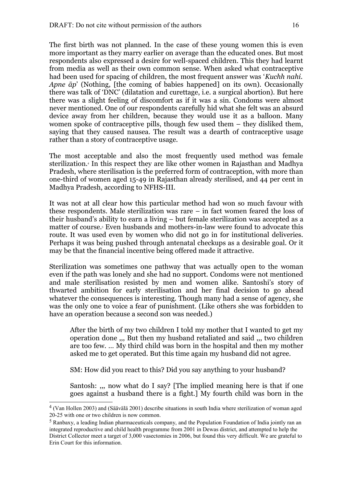The first birth was not planned. In the case of these young women this is even more important as they marry earlier on average than the educated ones. But most respondents also expressed a desire for well-spaced children. This they had learnt from media as well as their own common sense. When asked what contraceptive had been used for spacing of children, the most frequent answer was '*Kuchh nahi. Apne āp*' (Nothing, [the coming of babies happened] on its own). Occasionally there was talk of 'DNC' (dilatation and curettage, i.e. a surgical abortion). But here there was a slight feeling of discomfort as if it was a sin. Condoms were almost never mentioned. One of our respondents carefully hid what she felt was an absurd device away from her children, because they would use it as a balloon. Many women spoke of contraceptive pills, though few used them – they disliked them, saying that they caused nausea. The result was a dearth of contraceptive usage rather than a story of contraceptive usage.

The most acceptable and also the most frequently used method was female sterilization.[4](#page-15-0) In this respect they are like other women in Rajasthan and Madhya Pradesh, where sterilisation is the preferred form of contraception, with more than one-third of women aged 15-49 in Rajasthan already sterilised, and 44 per cent in Madhya Pradesh, according to NFHS-III.

It was not at all clear how this particular method had won so much favour with these respondents. Male sterilization was rare – in fact women feared the loss of their husband's ability to earn a living – but female sterilization was accepted as a matter of course[.](#page-15-1)<sup>5</sup> Even husbands and mothers-in-law were found to advocate this route. It was used even by women who did not go in for institutional deliveries. Perhaps it was being pushed through antenatal checkups as a desirable goal. Or it may be that the financial incentive being offered made it attractive.

Sterilization was sometimes one pathway that was actually open to the woman even if the path was lonely and she had no support. Condoms were not mentioned and male sterilisation resisted by men and women alike. Santoshi's story of thwarted ambition for early sterilisation and her final decision to go ahead whatever the consequences is interesting. Though many had a sense of agency, she was the only one to voice a fear of punishment. (Like others she was forbidden to have an operation because a second son was needed.)

After the birth of my two children I told my mother that I wanted to get my operation done ,,, But then my husband retaliated and said ,,, two children are too few. … My third child was born in the hospital and then my mother asked me to get operated. But this time again my husband did not agree.

SM: How did you react to this? Did you say anything to your husband?

Santosh: ,,, now what do I say? [The implied meaning here is that if one goes against a husband there is a fight.] My fourth child was born in the

<span id="page-15-0"></span><sup>&</sup>lt;sup>4</sup> (Van Hollen 2003) and (Säävälä 2001) describe situations in south India where sterilization of woman aged 20-25 with one or two children is now common.

<span id="page-15-1"></span><sup>&</sup>lt;sup>5</sup> Ranbaxy, a leading Indian pharmaceuticals company, and the Population Foundation of India jointly ran an integrated reproductive and child health programme from 2001 in Dewas district, and attempted to help the District Collector meet a target of 3,000 vasectomies in 2006, but found this very difficult. We are grateful to Erin Court for this information.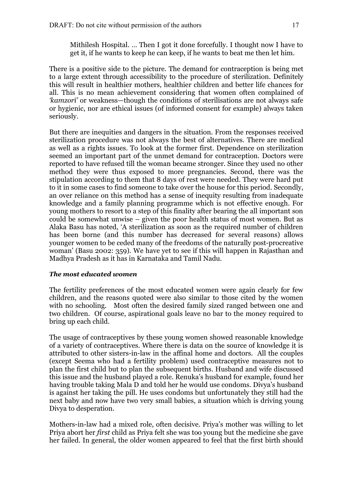Mithilesh Hospital. … Then I got it done forcefully. I thought now I have to get it, if he wants to keep he can keep, if he wants to beat me then let him.

There is a positive side to the picture. The demand for contraception is being met to a large extent through accessibility to the procedure of sterilization. Definitely this will result in healthier mothers, healthier children and better life chances for all. This is no mean achievement considering that women often complained of *'kamzorī'* or weakness—though the conditions of sterilisations are not always safe or hygienic, nor are ethical issues (of informed consent for example) always taken seriously.

But there are inequities and dangers in the situation. From the responses received sterilization procedure was not always the best of alternatives. There are medical as well as a rights issues. To look at the former first. Dependence on sterilization seemed an important part of the unmet demand for contraception. Doctors were reported to have refused till the woman became stronger. Since they used no other method they were thus exposed to more pregnancies. Second, there was the stipulation according to them that 8 days of rest were needed. They were hard put to it in some cases to find someone to take over the house for this period. Secondly, an over reliance on this method has a sense of inequity resulting from inadequate knowledge and a family planning programme which is not effective enough. For young mothers to resort to a step of this finality after bearing the all important son could be somewhat unwise – given the poor health status of most women. But as Alaka Basu has noted, 'A sterilization as soon as the required number of children has been borne (and this number has decreased for several reasons) allows younger women to be ceded many of the freedoms of the naturally post-procreative woman' (Basu 2002: 359). We have yet to see if this will happen in Rajasthan and Madhya Pradesh as it has in Karnataka and Tamil Nadu.

## *The most educated women*

The fertility preferences of the most educated women were again clearly for few children, and the reasons quoted were also similar to those cited by the women with no schooling. Most often the desired family sized ranged between one and two children. Of course, aspirational goals leave no bar to the money required to bring up each child.

The usage of contraceptives by these young women showed reasonable knowledge of a variety of contraceptives. Where there is data on the source of knowledge it is attributed to other sisters-in-law in the affinal home and doctors. All the couples (except Seema who had a fertility problem) used contraceptive measures not to plan the first child but to plan the subsequent births. Husband and wife discussed this issue and the husband played a role. Renuka's husband for example, found her having trouble taking Mala D and told her he would use condoms. Divya's husband is against her taking the pill. He uses condoms but unfortunately they still had the next baby and now have two very small babies, a situation which is driving young Divya to desperation.

Mothers-in-law had a mixed role, often decisive. Priya's mother was willing to let Priya abort her *first* child as Priya felt she was too young but the medicine she gave her failed. In general, the older women appeared to feel that the first birth should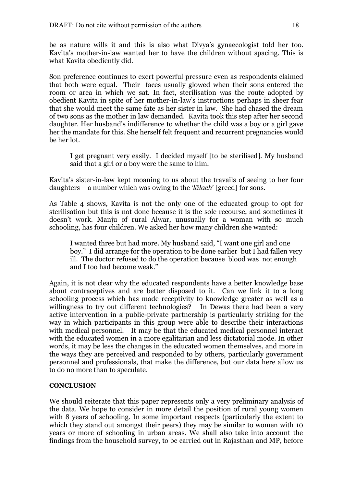be as nature wills it and this is also what Divya's gynaecologist told her too. Kavita's mother-in-law wanted her to have the children without spacing. This is what Kavita obediently did.

Son preference continues to exert powerful pressure even as respondents claimed that both were equal. Their faces usually glowed when their sons entered the room or area in which we sat. In fact, sterilisation was the route adopted by obedient Kavita in spite of her mother-in-law's instructions perhaps in sheer fear that she would meet the same fate as her sister in law. She had chased the dream of two sons as the mother in law demanded. Kavita took this step after her second daughter. Her husband's indifference to whether the child was a boy or a girl gave her the mandate for this. She herself felt frequent and recurrent pregnancies would be her lot.

I get pregnant very easily. I decided myself [to be sterilised]. My husband said that a girl or a boy were the same to him.

Kavita's sister-in-law kept moaning to us about the travails of seeing to her four daughters – a number which was owing to the '*lālach*' [greed] for sons.

As Table 4 shows, Kavita is not the only one of the educated group to opt for sterilisation but this is not done because it is the sole recourse, and sometimes it doesn't work. Manju of rural Alwar, unusually for a woman with so much schooling, has four children. We asked her how many children she wanted:

I wanted three but had more. My husband said, "I want one girl and one boy." I did arrange for the operation to be done earlier but I had fallen very ill. The doctor refused to do the operation because blood was not enough and I too had become weak."

Again, it is not clear why the educated respondents have a better knowledge base about contraceptives and are better disposed to it. Can we link it to a long schooling process which has made receptivity to knowledge greater as well as a willingness to try out different technologies? In Dewas there had been a very active intervention in a public-private partnership is particularly striking for the way in which participants in this group were able to describe their interactions with medical personnel. It may be that the educated medical personnel interact with the educated women in a more egalitarian and less dictatorial mode. In other words, it may be less the changes in the educated women themselves, and more in the ways they are perceived and responded to by others, particularly government personnel and professionals, that make the difference, but our data here allow us to do no more than to speculate.

## **CONCLUSION**

We should reiterate that this paper represents only a very preliminary analysis of the data. We hope to consider in more detail the position of rural young women with 8 years of schooling. In some important respects (particularly the extent to which they stand out amongst their peers) they may be similar to women with 10 years or more of schooling in urban areas. We shall also take into account the findings from the household survey, to be carried out in Rajasthan and MP, before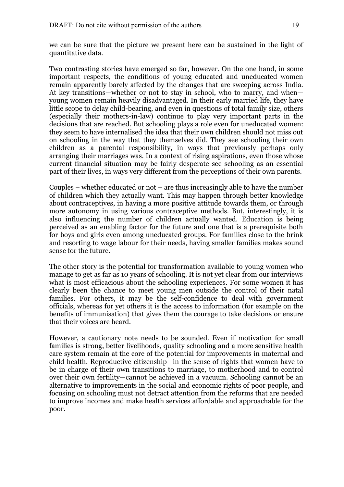we can be sure that the picture we present here can be sustained in the light of quantitative data.

Two contrasting stories have emerged so far, however. On the one hand, in some important respects, the conditions of young educated and uneducated women remain apparently barely affected by the changes that are sweeping across India. At key transitions—whether or not to stay in school, who to marry, and when young women remain heavily disadvantaged. In their early married life, they have little scope to delay child-bearing, and even in questions of total family size, others (especially their mothers-in-law) continue to play very important parts in the decisions that are reached. But schooling plays a role even for uneducated women: they seem to have internalised the idea that their own children should not miss out on schooling in the way that they themselves did. They see schooling their own children as a parental responsibility, in ways that previously perhaps only arranging their marriages was. In a context of rising aspirations, even those whose current financial situation may be fairly desperate see schooling as an essential part of their lives, in ways very different from the perceptions of their own parents.

Couples – whether educated or not – are thus increasingly able to have the number of children which they actually want. This may happen through better knowledge about contraceptives, in having a more positive attitude towards them, or through more autonomy in using various contraceptive methods. But, interestingly, it is also influencing the number of children actually wanted. Education is being perceived as an enabling factor for the future and one that is a prerequisite both for boys and girls even among uneducated groups. For families close to the brink and resorting to wage labour for their needs, having smaller families makes sound sense for the future.

The other story is the potential for transformation available to young women who manage to get as far as 10 years of schooling. It is not yet clear from our interviews what is most efficacious about the schooling experiences. For some women it has clearly been the chance to meet young men outside the control of their natal families. For others, it may be the self-confidence to deal with government officials, whereas for yet others it is the access to information (for example on the benefits of immunisation) that gives them the courage to take decisions or ensure that their voices are heard.

However, a cautionary note needs to be sounded. Even if motivation for small families is strong, better livelihoods, quality schooling and a more sensitive health care system remain at the core of the potential for improvements in maternal and child health. Reproductive citizenship—in the sense of rights that women have to be in charge of their own transitions to marriage, to motherhood and to control over their own fertility—cannot be achieved in a vacuum. Schooling cannot be an alternative to improvements in the social and economic rights of poor people, and focusing on schooling must not detract attention from the reforms that are needed to improve incomes and make health services affordable and approachable for the poor.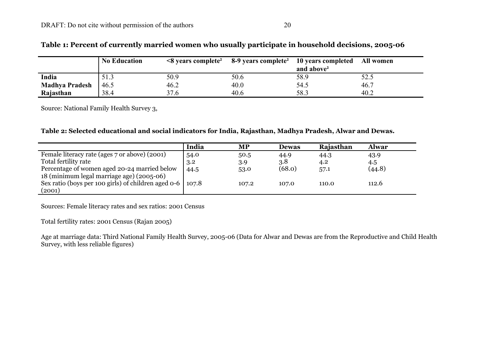|                       | <b>No Education</b> |      | $\leq$ 8 years complete <sup>2</sup> 8-9 years complete <sup>2</sup> 10 years completed All women | and above <sup>2</sup> |      |
|-----------------------|---------------------|------|---------------------------------------------------------------------------------------------------|------------------------|------|
| India                 |                     | 50.9 | 50.6                                                                                              | 58.9                   | 52.5 |
| <b>Madhya Pradesh</b> | 46.5                | 46.2 | 40.0                                                                                              | 54.5                   | 46.7 |
| Rajasthan             | 38.4                | 37.6 | 40.6                                                                                              | 58.3                   | 40.2 |

## **Table 1: Percent of currently married women who usually participate in household decisions, 2005-06**

Source: National Family Health Survey 3,

### **Table 2: Selected educational and social indicators for India, Rajasthan, Madhya Pradesh, Alwar and Dewas.**

|                                                     | India | MP    | <b>Dewas</b> | <b>Rajasthan</b> | <b>Alwar</b> |
|-----------------------------------------------------|-------|-------|--------------|------------------|--------------|
| Female literacy rate (ages 7 or above) (2001)       | 54.0  | 50.5  | 44.9         | 44.3             | 43.9         |
| Total fertility rate                                | 3.2   | 3.9   | 3.8          | 4.2              | 4.5          |
| Percentage of women aged 20-24 married below        | 44.5  | 53.0  | (68.0)       | 57.1             | (44.8)       |
| 18 (minimum legal marriage age) (2005-06)           |       |       |              |                  |              |
| Sex ratio (boys per 100 girls) of children aged 0-6 | 107.8 | 107.2 | 107.0        | 110.0            | 112.6        |
| (2001)                                              |       |       |              |                  |              |

Sources: Female literacy rates and sex ratios: 2001 Census

Total fertility rates: 2001 Census (Rajan 2005)

Age at marriage data: Third National Family Health Survey, 2005-06 (Data for Alwar and Dewas are from the Reproductive and Child Health Survey, with less reliable figures)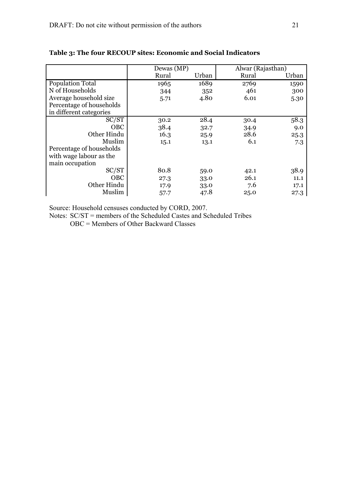|                          | Dewas (MP) |       | Alwar (Rajasthan) |       |
|--------------------------|------------|-------|-------------------|-------|
|                          | Rural      | Urban | Rural             | Urban |
| <b>Population Total</b>  | 1965       | 1689  | 2769              | 1590  |
| N of Households          | 344        | 352   | 461               | 300   |
| Average household size   | 5.71       | 4.80  | 6.01              | 5.30  |
| Percentage of households |            |       |                   |       |
| in different categories  |            |       |                   |       |
| SC/ST                    | 30.2       | 28.4  | 30.4              | 58.3  |
| <b>OBC</b>               | 38.4       | 32.7  | 34.9              | 9.0   |
| Other Hindu              | 16.3       | 25.9  | 28.6              | 25.3  |
| Muslim                   | 15.1       | 13.1  | 6.1               | 7.3   |
| Percentage of households |            |       |                   |       |
| with wage labour as the  |            |       |                   |       |
| main occupation          |            |       |                   |       |
| SC/ST                    | 80.8       | 59.0  | 42.1              | 38.9  |
| <b>OBC</b>               | 27.3       | 33.0  | 26.1              | 11.1  |
| Other Hindu              | 17.9       | 33.0  | 7.6               | 17.1  |
| Muslim                   | 57.7       | 47.8  | 25.0              | 27.3  |

## **Table 3: The four RECOUP sites: Economic and Social Indicators**

Source: Household censuses conducted by CORD, 2007.

Notes: SC/ST = members of the Scheduled Castes and Scheduled Tribes

OBC = Members of Other Backward Classes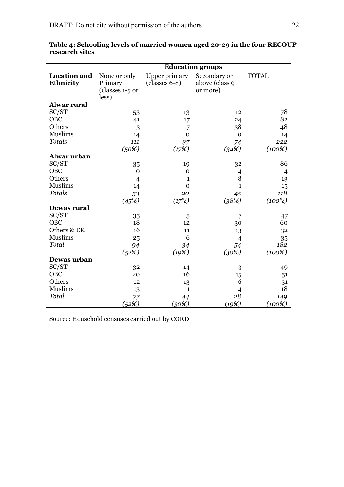|                     | <b>Education groups</b> |                 |                |                |  |
|---------------------|-------------------------|-----------------|----------------|----------------|--|
| <b>Location</b> and | None or only            | Upper primary   | Secondary or   | <b>TOTAL</b>   |  |
| Ethnicity           | Primary                 | $(classes 6-8)$ | above (class 9 |                |  |
|                     | (classes 1-5 or         |                 | or more)       |                |  |
|                     | less)                   |                 |                |                |  |
| <b>Alwar rural</b>  |                         |                 |                |                |  |
| SC/ST               | 53                      | 13              | 12             | 78             |  |
| OBC                 | 41                      | 17              | 24             | 82             |  |
| Others              | 3                       | 7               | 38             | 48             |  |
| <b>Muslims</b>      | 14                      | $\mathbf 0$     | $\mathbf 0$    | 14             |  |
| <b>Totals</b>       | 111                     | 37              | 74             | 222            |  |
|                     | (50%)                   | (17%)           | (34%)          | $(100\%)$      |  |
| Alwar urban         |                         |                 |                |                |  |
| SC/ST               | 35                      | 19              | 32             | 86             |  |
| OBC                 | $\Omega$                | $\mathbf 0$     | $\overline{4}$ | $\overline{4}$ |  |
| Others              | $\overline{4}$          | $\mathbf{1}$    | 8              | 13             |  |
| <b>Muslims</b>      | 14                      | $\mathbf 0$     | $\mathbf{1}$   | 15             |  |
| <b>Totals</b>       | 53                      | 20              | 45             | 118            |  |
|                     | (45%)                   | (17%)           | (38%)          | (100%)         |  |
| Dewas rural         |                         |                 |                |                |  |
| SC/ST               | 35                      | 5               | 7              | 47             |  |
| OBC                 | 18                      | 12              | 30             | 60             |  |
| Others & DK         | 16                      | 11              | 13             | 32             |  |
| <b>Muslims</b>      | 25                      | 6               | $\overline{4}$ | 35             |  |
| Total               | 94                      | 34              | 54             | 182            |  |
|                     | (52%)                   | (19%)           | (30%)          | (100%)         |  |
| Dewas urban         |                         |                 |                |                |  |
| SC/ST               | 32                      | 14              | 3              | 49             |  |
| OBC                 | 20                      | 16              | 15             | 51             |  |
| Others              | 12                      | 13              | 6              | 31             |  |
| <b>Muslims</b>      | 13                      | $\mathbf{1}$    | $\overline{4}$ | 18             |  |
| Total               | 77                      | 44              | 28             | 149            |  |
|                     | (52%)                   | (30%)           | (19%)          | (100%)         |  |

**Table 4: Schooling levels of married women aged 20-29 in the four RECOUP research sites**

Source: Household censuses carried out by CORD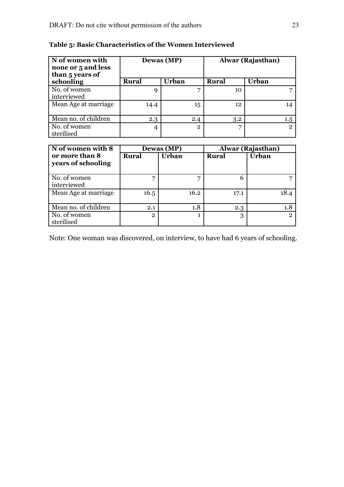| N of women with<br>none or 5 and less<br>than 5 years of |       | Dewas (MP) | Alwar (Rajasthan) |                |  |
|----------------------------------------------------------|-------|------------|-------------------|----------------|--|
| schooling                                                | Rural | Urban      | <b>Rural</b>      | Urban          |  |
| No. of women<br>interviewed                              | q     | −          | 10                |                |  |
| Mean Age at marriage                                     | 14.4  | 15         | $12 \overline{ }$ | 14             |  |
| Mean no. of children                                     | 2.3   | 2.4        | 3.2               | 1.5            |  |
| No. of women<br>sterilised                               | 4     | 2          |                   | $\overline{2}$ |  |

## **Table 5: Basic Characteristics of the Women Interviewed**

| N of women with 8                    |              | Dewas (MP)   | Alwar (Rajasthan) |                |
|--------------------------------------|--------------|--------------|-------------------|----------------|
| or more than 8<br>years of schooling | <b>Rural</b> | <b>Urban</b> | <b>Rural</b>      | <b>Urban</b>   |
| No. of women<br>interviewed          |              | ヮ            | 6                 |                |
| Mean Age at marriage                 | 16.5         | 16.2         | 17.1              | 18.4           |
| Mean no. of children                 | 2.1          | 1.8          | 2.3               | 1.8            |
| No. of women<br>sterilised           | $\mathbf{2}$ |              | 3                 | $\overline{2}$ |

Note: One woman was discovered, on interview, to have had 6 years of schooling.